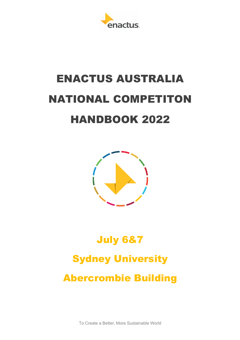

# ENACTUS AUSTRALIA NATIONAL COMPETITON HANDBOOK 2022



# July 6&7 Sydney University

Abercrombie Building

To Create a Better, More Sustainable World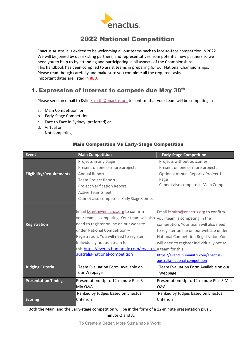

# 2022 National Competition

Enactus Australia is excited to be welcoming all our teams back to face-to-face competition in 2022. We will be joined by our existing partners, and representatives from potential new partners so we need you to help us by attending and participating in all aspects of the Championships. This handbook has been compiled to assist teams in preparing for our National Championships. Please read though carefully and make sure you complete all the required tasks. Important dates are listed in **RED**.

# 1. Expression of Interest to compete due May 30<sup>th</sup>

Please send an email to Kylie ksmith@enactus.org to confirm that your team will be competing in

- a. Main Competition, or
- b. Early-Stage Competition
- c. Face to Face in Sydney (preferred) or
- d. Virtual or
- e. Not competing

| <b>Event</b>                    | <b>Main Competition</b>                                                                                                                                                                                                                                                                                                                  | <b>Early-Stage Competition</b>                                                                                                                                                                                                                                                                                             |
|---------------------------------|------------------------------------------------------------------------------------------------------------------------------------------------------------------------------------------------------------------------------------------------------------------------------------------------------------------------------------------|----------------------------------------------------------------------------------------------------------------------------------------------------------------------------------------------------------------------------------------------------------------------------------------------------------------------------|
| <b>Eligibility/Requirements</b> | Projects in any stage<br>Present on one or more projects<br><b>Annual Report</b>                                                                                                                                                                                                                                                         | Projects without outcomes<br>Present on one or more projects<br>Optional Annual Report / Project 1                                                                                                                                                                                                                         |
|                                 | <b>Team Project Report</b><br><b>Project Verification Report</b><br><b>Active Team Sheet</b><br>Cannot also compete in Early Stage Comp.                                                                                                                                                                                                 | Page<br>Cannot also compete in Main Comp.                                                                                                                                                                                                                                                                                  |
| <b>Registration</b>             | Email ksmith@enactus.org to confirm<br>your team is competing. Your team will also<br>need to register online on our website<br>under National Competition-<br>Registration. You will need to register<br>Individually not as a team for<br>this.https://events.humanitix.com/enactus-a team for this.<br>australia-national-competition | Email ksmith@enactus.org to confirm<br>your team is competing in the<br>competition. Your team will also need<br>to register online on our website under<br>National Competition Registration. You<br>will need to register Individually not as<br>https://events.humanitix.com/enactus-<br>australia-national-competition |
| <b>Judging Criteria</b>         | Team Evaluation Form_Available on<br>our Webpage                                                                                                                                                                                                                                                                                         | Team Evaluation Form Available on our<br>Webpage                                                                                                                                                                                                                                                                           |
| <b>Presentation Timing</b>      | Presentation: Up to 12-minute Plus 5<br>Min Q&A                                                                                                                                                                                                                                                                                          | Presentation: Up to 12-minute Plus 5 Min<br>Q&A                                                                                                                                                                                                                                                                            |
| <b>Scoring</b>                  | Ranked by Judges based on Enactus<br>Criterion                                                                                                                                                                                                                                                                                           | Ranked by Judges based on Enactus<br>Criterion                                                                                                                                                                                                                                                                             |

#### Main Competition Vs Early-Stage Competition

Both the Main, and the Early-stage competition will be in the form of a 12-minute presentation plus 5 minute Q and A.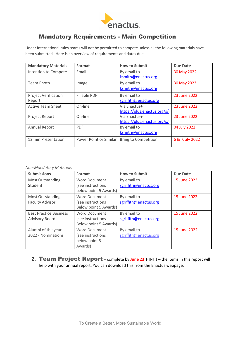

# Mandatory Requirements - Main Competition

Under International rules teams will not be permitted to compete unless all the following materials have been submitted. Here is an overview of requirements and dates due

| <b>Mandatory Materials</b>            | Format                 | <b>How to Submit</b>                        | <b>Due Date</b> |
|---------------------------------------|------------------------|---------------------------------------------|-----------------|
| Intention to Compete                  | Email                  | By email to<br>ksmith@enactus.org           | 30 May 2022     |
| <b>Team Photo</b>                     | Image                  | By email to<br>ksmith@enactus.org           | 30 May 2022     |
| <b>Project Verification</b><br>Report | <b>Fillable PDF</b>    | By email to<br>sgriffith@enactus.org        | 23 June 2022    |
| <b>Active Team Sheet</b>              | On-line                | Via Enactus+<br>https://plus.enactus.org/s/ | 23 June 2022    |
| Project Report                        | On-line                | Via Enactus+<br>https://plus.enactus.org/s/ | 23 June 2022    |
| <b>Annual Report</b>                  | <b>PDF</b>             | By email to<br>ksmith@enactus.org           | 04 July 2022    |
| 12 min Presentation                   | Power Point or Similar | <b>Bring to Competition</b>                 | 6 & 7July 2022  |

#### *Non-Mandatory Materials*

| <b>Submissions</b>            | Format                | <b>How to Submit</b>  | <b>Due Date</b> |
|-------------------------------|-----------------------|-----------------------|-----------------|
| <b>Most Outstanding</b>       | Word Document         | By email to           | 15 June 2022    |
| Student                       | (see instructions     | sgriffith@enactus.org |                 |
|                               | below point 5 Awards) |                       |                 |
| <b>Most Outstanding</b>       | <b>Word Document</b>  | By email to           | 15 June 2022    |
| <b>Faculty Advisor</b>        | (see instructions     | sgriffith@enactus.org |                 |
|                               | Below point 5 Awards) |                       |                 |
| <b>Best Practice Business</b> | <b>Word Document</b>  | By email to           | 15 June 2022    |
| <b>Advisory Board</b>         | (see instructions     | sgriffith@enactus.org |                 |
|                               | Below point 5 Awards) |                       |                 |
| Alumni of the year            | <b>Word Document</b>  | By email to           | 15 June 2022.   |
| 2022 - Nominations            | (see instructions     | sgriffith@enactus.org |                 |
|                               | below point 5         |                       |                 |
|                               | Awards)               |                       |                 |

2. Team Project Report – complete by June 23 HINT ! – the items in this report will help with your annual report. You can download this from the Enactus webpage.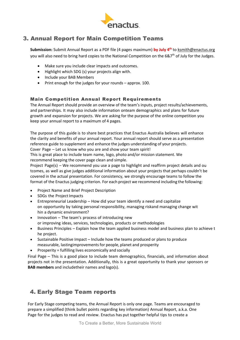

# 3. Annual Report for Main Competition Teams

**Submission:** Submit Annual Report as a PDF file (4 pages maximum) **by July 4th** to ksmith@enactus.org you will also need to bring hard copies to the National Competition on the  $687<sup>th</sup>$  of July for the Judges.

- Make sure you include clear impacts and outcomes.
- Highlight which SDG (s) your projects align with.
- Include your BAB Members
- Print enough for the judges for your rounds approx. 100.

#### Main Competition Annual Report Requirements

The Annual Report should provide an overview of the team's inputs, project results/achievements, and partnerships. It may also include information onteam demographics and plans for future growth and expansion for projects. We are asking for the purpose of the online competition you keep your annual report to a maximum of 4 pages.

The purpose of this guide is to share best practices that Enactus Australia believes will enhance the clarity and benefits of your annual report. Your annual report should serve as a presentation reference guide to supplement and enhance the judges understanding of your projects.

Cover Page – Let us know who you are and show your team spirit!

This is great place to include team name, logo, photo and/or mission statement. We recommend keeping the cover page clean and simple.

Project Page(s) – We recommend you use a page to highlight and reaffirm project details and ou tcomes, as well as give judges additional information about your projects that perhaps couldn't be covered in the actual presentation. For consistency, we strongly encourage teams to follow the format of the Enactus judging criterion. For each project we recommend including the following:

- Project Name and Brief Project Description
- SDGs the Project Impacts
- Entrepreneurial Leadership How did your team identify a need and capitalize on opportunity by taking personal responsibility, managing riskand managing change wit hin a dynamic environment?
- Innovation The team's process of introducing new or improving ideas, services, technologies, products or methodologies
- Business Principles Explain how the team applied business model and business plan to achieve t he project.
- Sustainable Positive Impact Include how the teams produced or plans to produce measurable, lastingimprovementsfor people, planet and prosperity
- Prosperity = fulfilling lives economically and socially

Final Page – This is a good place to include team demographics, financials, and information about projects not in the presentation. Additionally, this is a great opportunity to thank your sponsors or **BAB members** and includetheir names and logo(s).

# 4. Early Stage Team reports

For Early Stage competing teams, the Annual Report is only one page. Teams are encouraged to prepare a simplified (think bullet points regarding key information) Annual Report, a.k.a. One Page for the judges to read and review. Enactus has put together helpful tips to create a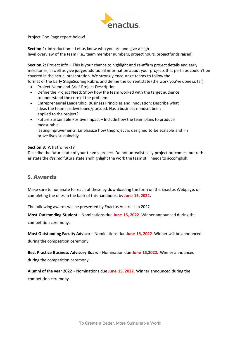

Project One-Page report below!

**Section 1:** Introduction – Let us know who you are and give a highlevel overview of the team (i.e., team member numbers, project hours, projectfundsraised)

**Section 2:** Project Info – This is your chance to highlight and re-affirm project details and early milestones, aswell as give judges additional information about your projects that perhaps couldn't be covered in the actual presentation. We strongly encourage teams to follow the

format of the Early StageScoring Rubric and define the current state (the work you've done so far).

- Project Name and Brief Project Description
- Define the Project Need: Show how the team worked with the target audience to understand the core of the problem
- Entrepreneurial Leadership, Business Principles and Innovation: Describe what ideas the team hasdeveloped/pursued. Has a business mindset been applied to the project?
- Future Sustainable Positive Impact Include how the team plans to produce measurable, lastingimprovements. Emphasize how theproject is designed to be scalable and im prove lives sustainably

#### **Section 3**: What's next?

Describe the futurestate of your team's project. Do not unrealistically project outcomes, but rath er state the *desired* future state andhighlight the work the team still needs to accomplish.

#### **5.** Awards

Make sure to nominate for each of these by downloading the form on the Enactus Webpage, or completing the ones in the back of this handbook, by **June 15, 2022.**

The following awards will be presented by Enactus Australia in 2022

**Most Outstanding Student** - Nominations due **June 15, 2022**. Winner announced during the competition ceremony.

**Most Outstanding Faculty Advisor** – Nominations due **June 15, 2022**. Winner will be announced during the competition ceremony.

**Best Practice Business Advisory Board** - Nomination due **June 15,2022**. Winner announced during the competition ceremony.

**Alumni of the year 2022** - Nominations due **June 15, 2022**. Winner announced during the competition ceremony.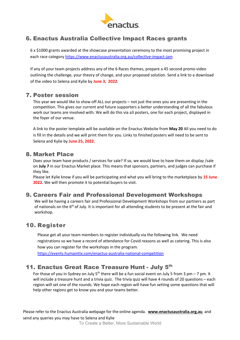

# 6. Enactus Australia Collective Impact Races grants

6 x \$1000 grants awarded at the showcase presentation ceremony to the most promising project in each race category https://www.enactusaustralia.org.au/collective-impact-jam

If any of your team projects address any of the 6 Races themes, prepare a 45 second promo video outlining the challenge, your theory of change, and your proposed solution. Send a link to a download of the video to Selena and Kylie by **June 3, 2022**.

### 7. Poster session

This year we would like to show off ALL our projects – not just the ones you are presenting in the competition. This gives our current and future supporters a better understanding of all the fabulous work our teams are involved with. We will do this via a3 posters, one for each project, displayed in the foyer of our venue.

A link to the poster template will be available on the Enactus Website from **May 20** All you need to do is fill in the details and we will print them for you. Links to finished posters will need to be sent to Selena and Kylie by **June 25, 2022.**

### 8. Market Place

Does your team have products / services for sale? If so, we would love to have them on display /sale on **July 7** in our Enactus Market place. This means that sponsors, partners, and judges can purchase if they like.

Please let Kylie know if you will be participating and what you will bring to the marketplace by **15 June 2022.** We will then promote it to potential buyers to visit.

## 9. Careers Fair and Professional Development Workshops

We will be having a careers fair and Professional Development Workshops from our partners as part of nationals on the 6<sup>th</sup> of July. It is important for all attending students to be present at the fair and workshop.

## 10. Register

Please get all your team members to register individually via the following link. We need registrations so we have a record of attendance for Covid reasons as well as catering. This is also how you can register for the workshops in the program.

https://events.humanitix.com/enactus-australia-national-competition

## 11. Enactus Great Race Treasure Hunt - July 5<sup>th</sup>

For those of you in Sydney on July  $5<sup>th</sup>$  there will be a fun social event on July 5 from 3 pm – 7 pm. It will include a treasure hunt and a trivia quiz. The trivia quiz will have 4 rounds of 20 questions – each region will set one of the rounds. We hope each region will have fun setting some questions that will help other regions get to know you and your teams better.

Please refer to the Enactus Australia webpage for the online agenda. **www.enactusaustralia.org.au** and send any queries you may have to Selena and Kylie

To Create a Better, More Sustainable World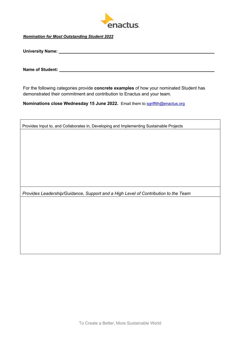

*Nomination for Most Outstanding Student 2022*

**University Name:** <u>**Williams**</u> **Linear Manual Community Name:** *Community Name:* 

**Name of Student:** 

For the following categories provide **concrete examples** of how your nominated Student has demonstrated their commitment and contribution to Enactus and your team.

**Nominations close Wednesday 15 June 2022.** Email them to sgriffith@enactus.org

Provides Input to, and Collaborates in, Developing and Implementing Sustainable Projects

*Provides Leadership/Guidance, Support and a High Level of Contribution to the Team*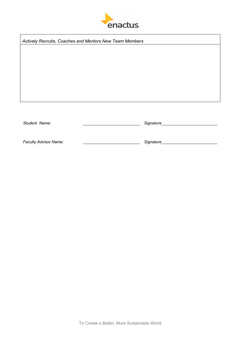

*Actively Recruits, Coaches and Mentors New Team Members*

*Student Name: Signature*

*Faculty Advisor Name: Signature*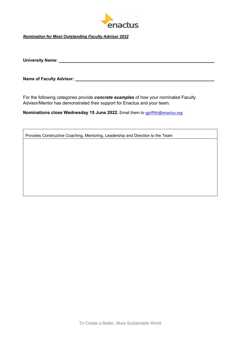

*Nomination for Most Outstanding Faculty Advisor 2022*

**University Name:** 

**Name of Faculty Advisor:** 

For the following categories provide *concrete examples* of how your nominated Faculty Advisor/Mentor has demonstrated their support for Enactus and your team.

**Nominations close Wednesday 15 June 2022.** Email them to sgriffith@enactus.org

Provides Constructive Coaching, Mentoring, Leadership and Direction to the Team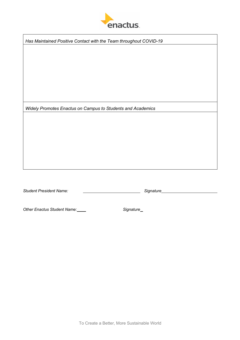

*Has Maintained Positive Contact with the Team throughout COVID-19*

*Widely Promotes Enactus on Campus to Students and Academics*

*Student President Name: Signature*

*Other Enactus Student Name: Signature*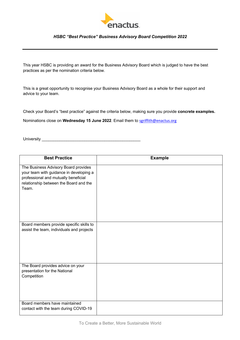

#### *HSBC "Best Practice" Business Advisory Board Competition 2022*

This year HSBC is providing an award for the Business Advisory Board which is judged to have the best practices as per the nomination criteria below.

This is a great opportunity to recognise your Business Advisory Board as a whole for their support and advice to your team.

Check your Board's "best practice" against the criteria below, making sure you provide **concrete examples.** 

Nominations close on **Wednesday 15 June 2022**. Email them to sgriffith@enactus.org

University \_\_\_\_\_\_\_\_\_\_\_\_\_\_\_\_\_\_\_\_\_\_\_\_\_\_\_\_\_\_\_\_\_\_\_\_\_\_\_\_\_\_\_\_

| <b>Best Practice</b>                                                                                                                                                       | <b>Example</b> |
|----------------------------------------------------------------------------------------------------------------------------------------------------------------------------|----------------|
| The Business Advisory Board provides<br>your team with guidance in developing a<br>professional and mutually beneficial<br>relationship between the Board and the<br>Team. |                |
| Board members provide specific skills to<br>assist the team, individuals and projects                                                                                      |                |
| The Board provides advice on your<br>presentation for the National<br>Competition                                                                                          |                |
| Board members have maintained<br>contact with the team during COVID-19                                                                                                     |                |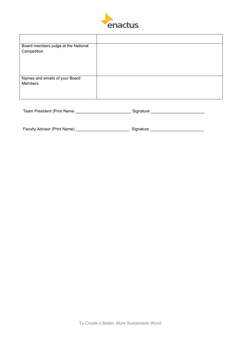

| Board members judge at the National |  |
|-------------------------------------|--|
| Competition                         |  |
|                                     |  |
|                                     |  |
|                                     |  |
| Names and emails of your Board      |  |
| Members                             |  |
|                                     |  |
|                                     |  |

| Team President (Print Name<br>Sionature |  |
|-----------------------------------------|--|
|-----------------------------------------|--|

| <b>Faculty Advisor (Print Name)</b> | Signature |  |
|-------------------------------------|-----------|--|
|                                     |           |  |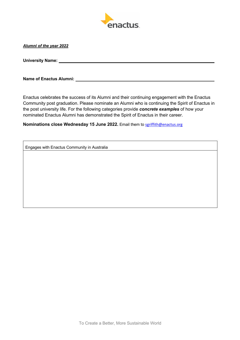

#### *Alumni of the year 2022*

**University Name:** 

**Name of Enactus Alumni:** 

Enactus celebrates the success of its Alumni and their continuing engagement with the Enactus Community post graduation. Please nominate an Alumni who is continuing the Spirit of Enactus in the post university life. For the following categories provide *concrete examples* of how your nominated Enactus Alumni has demonstrated the Spirit of Enactus in their career.

**Nominations close Wednesday 15 June 2022.** Email them to sgriffith@enactus.org

Engages with Enactus Community in Australia